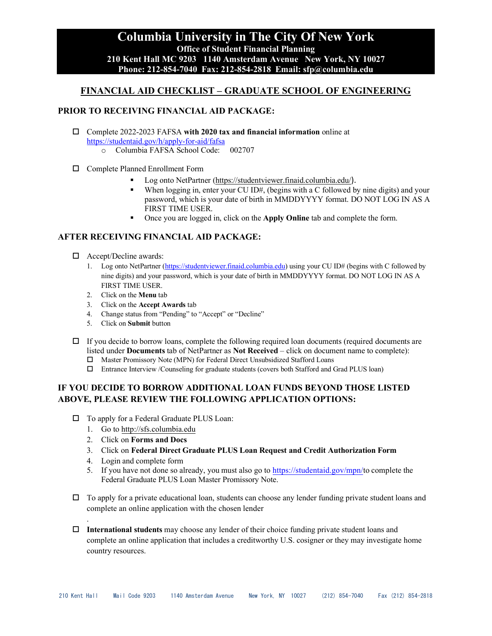## **Columbia University in The City Of New York Office of Student Financial Planning 210 Kent Hall MC 9203 1140 Amsterdam Avenue New York, NY 10027 Phone: 212-854-7040 Fax: 212-854-2818 Email: sfp@columbia.edu**

## **FINANCIAL AID CHECKLIST – GRADUATE SCHOOL OF ENGINEERING**

#### **PRIOR TO RECEIVING FINANCIAL AID PACKAGE:**

- Complete 2022-2023 FAFSA **with 2020 tax and financial information** online at <https://studentaid.gov/h/apply-for-aid/fafsa>
	- Columbia FAFSA School Code: 002707
- Complete Planned Enrollment Form
	- Log onto NetPartner [\(https://studentviewer.finaid.columbia.edu/](https://studentviewer.finaid.columbia.edu/)).
	- When logging in, enter your CU ID#, (begins with a C followed by nine digits) and your password, which is your date of birth in MMDDYYYY format. DO NOT LOG IN AS A FIRST TIME USER.
	- Once you are logged in, click on the **Apply Online** tab and complete the form.

### **AFTER RECEIVING FINANCIAL AID PACKAGE:**

- □ Accept/Decline awards:
	- 1. Log onto NetPartner [\(https://studentviewer.finaid.columbia.edu\)](https://studentviewer.finaid.columbia.edu/) using your CU ID# (begins with C followed by nine digits) and your password, which is your date of birth in MMDDYYYY format. DO NOT LOG IN AS A FIRST TIME USER.
	- 2. Click on the **Menu** tab
	- 3. Click on the **Accept Awards** tab
	- 4. Change status from "Pending" to "Accept" or "Decline"
	- 5. Click on **Submit** button
- $\Box$  If you decide to borrow loans, complete the following required loan documents (required documents are listed under **Documents** tab of NetPartner as **Not Received** – click on document name to complete):
	- Master Promissory Note (MPN) for Federal Direct Unsubsidized Stafford Loans
	- Entrance Interview /Counseling for graduate students (covers both Stafford and Grad PLUS loan)

### **IF YOU DECIDE TO BORROW ADDITIONAL LOAN FUNDS BEYOND THOSE LISTED ABOVE, PLEASE REVIEW THE FOLLOWING APPLICATION OPTIONS:**

- □ To apply for a Federal Graduate PLUS Loan:
	- 1. Go to http://sfs.columbia.edu
	- 2. Click on **Forms and Docs**
	- 3. Click on **Federal Direct Graduate PLUS Loan Request and Credit Authorization Form**
	- 4. Login and complete form

.

- 5. If you have not done so already, you must also go to [https://studentaid.gov/mpn/t](https://studentaid.gov/mpn/)o complete the Federal Graduate PLUS Loan Master Promissory Note.
- $\Box$  To apply for a private educational loan, students can choose any lender funding private student loans and complete an online application with the chosen lender
- **International students** may choose any lender of their choice funding private student loans and complete an online application that includes a creditworthy U.S. cosigner or they may investigate home country resources.